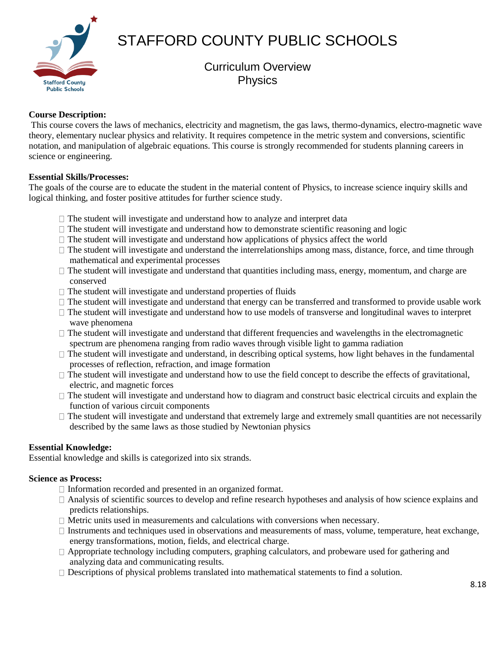

STAFFORD COUNTY PUBLIC SCHOOLS

# Curriculum Overview Physics

## **Course Description:**

This course covers the laws of mechanics, electricity and magnetism, the gas laws, thermo-dynamics, electro-magnetic wave theory, elementary nuclear physics and relativity. It requires competence in the metric system and conversions, scientific notation, and manipulation of algebraic equations. This course is strongly recommended for students planning careers in science or engineering.

#### **Essential Skills/Processes:**

The goals of the course are to educate the student in the material content of Physics, to increase science inquiry skills and logical thinking, and foster positive attitudes for further science study.

- $\Box$  The student will investigate and understand how to analyze and interpret data
- $\Box$  The student will investigate and understand how to demonstrate scientific reasoning and logic
- $\Box$  The student will investigate and understand how applications of physics affect the world
- $\Box$  The student will investigate and understand the interrelationships among mass, distance, force, and time through mathematical and experimental processes
- The student will investigate and understand that quantities including mass, energy, momentum, and charge are conserved
- $\Box$  The student will investigate and understand properties of fluids
- $\Box$  The student will investigate and understand that energy can be transferred and transformed to provide usable work
- $\Box$  The student will investigate and understand how to use models of transverse and longitudinal waves to interpret wave phenomena
- $\Box$  The student will investigate and understand that different frequencies and wavelengths in the electromagnetic spectrum are phenomena ranging from radio waves through visible light to gamma radiation
- $\Box$  The student will investigate and understand, in describing optical systems, how light behaves in the fundamental processes of reflection, refraction, and image formation
- $\Box$  The student will investigate and understand how to use the field concept to describe the effects of gravitational, electric, and magnetic forces
- $\Box$  The student will investigate and understand how to diagram and construct basic electrical circuits and explain the function of various circuit components
- $\Box$  The student will investigate and understand that extremely large and extremely small quantities are not necessarily described by the same laws as those studied by Newtonian physics

#### **Essential Knowledge:**

Essential knowledge and skills is categorized into six strands.

#### **Science as Process:**

- $\Box$  Information recorded and presented in an organized format.
- Analysis of scientific sources to develop and refine research hypotheses and analysis of how science explains and predicts relationships.
- $\Box$  Metric units used in measurements and calculations with conversions when necessary.
- $\Box$  Instruments and techniques used in observations and measurements of mass, volume, temperature, heat exchange, energy transformations, motion, fields, and electrical charge.
- $\Box$  Appropriate technology including computers, graphing calculators, and probeware used for gathering and analyzing data and communicating results.
- $\Box$  Descriptions of physical problems translated into mathematical statements to find a solution.